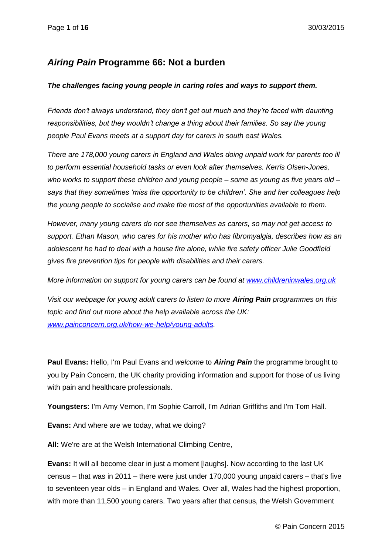## *Airing Pain* **Programme 66: Not a burden**

### *The challenges facing young people in caring roles and ways to support them.*

*Friends don't always understand, they don't get out much and they're faced with daunting responsibilities, but they wouldn't change a thing about their families. So say the young people Paul Evans meets at a support day for carers in south east Wales.*

*There are 178,000 young carers in England and Wales doing unpaid work for parents too ill to perform essential household tasks or even look after themselves. Kerris Olsen-Jones, who works to support these children and young people – some as young as five years old – says that they sometimes 'miss the opportunity to be children'. She and her colleagues help the young people to socialise and make the most of the opportunities available to them.*

*However, many young carers do not see themselves as carers, so may not get access to support. Ethan Mason, who cares for his mother who has fibromyalgia, describes how as an adolescent he had to deal with a house fire alone, while fire safety officer Julie Goodfield gives fire prevention tips for people with disabilities and their carers.*

*More information on support for young carers can be found at [www.childreninwales.org.uk](http://www.childreninwales.org.uk/)*

*Visit our webpage for young adult carers to listen to more Airing Pain programmes on this topic and find out more about the help available across the UK: [www.painconcern.org.uk/how-we-help/young-adults.](http://www.painconcern.org.uk/how-we-help/young-adults)*

**Paul Evans:** Hello, I'm Paul Evans and *welcome* to *Airing Pain* the programme brought to you by Pain Concern*,* the UK charity providing information and support for those of us living with pain and healthcare professionals.

**Youngsters:** I'm Amy Vernon, I'm Sophie Carroll, I'm Adrian Griffiths and I'm Tom Hall.

**Evans:** And where are we today, what we doing?

**All:** We're are at the Welsh International Climbing Centre,

**Evans:** It will all become clear in just a moment [laughs]. Now according to the last UK census – that was in 2011 – there were just under 170,000 young unpaid carers – that's five to seventeen year olds – in England and Wales. Over all, Wales had the highest proportion, with more than 11,500 young carers. Two years after that census, the Welsh Government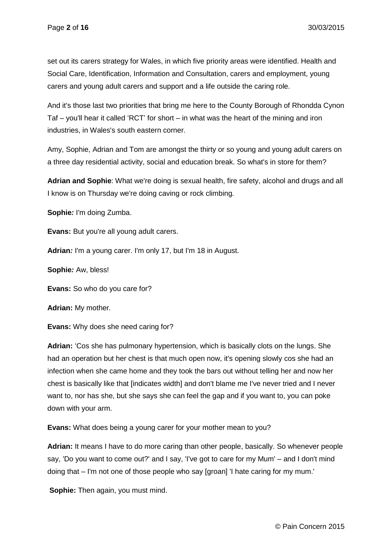set out its carers strategy for Wales, in which five priority areas were identified. Health and Social Care, Identification, Information and Consultation, carers and employment, young carers and young adult carers and support and a life outside the caring role.

And it's those last two priorities that bring me here to the County Borough of Rhondda Cynon Taf – you'll hear it called 'RCT' for short – in what was the heart of the mining and iron industries, in Wales's south eastern corner.

Amy, Sophie, Adrian and Tom are amongst the thirty or so young and young adult carers on a three day residential activity, social and education break. So what's in store for them?

**Adrian and Sophie**: What we're doing is sexual health, fire safety, alcohol and drugs and all I know is on Thursday we're doing caving or rock climbing*.*

**Sophie***:* I'm doing Zumba.

**Evans:** But you're all young adult carers.

**Adrian***:* I'm a young carer. I'm only 17, but I'm 18 in August.

**Sophie***:* Aw, bless!

**Evans:** So who do you care for?

**Adrian:** My mother*.*

**Evans:** Why does she need caring for?

**Adrian:** 'Cos she has pulmonary hypertension, which is basically clots on the lungs. She had an operation but her chest is that much open now, it's opening slowly cos she had an infection when she came home and they took the bars out without telling her and now her chest is basically like that [indicates width] and don't blame me I've never tried and I never want to, nor has she, but she says she can feel the gap and if you want to, you can poke down with your arm.

**Evans:** What does being a young carer for your mother mean to you?

**Adrian:** It means I have to do more caring than other people, basically. So whenever people say, 'Do you want to come out?' and I say, 'I've got to care for my Mum' – and I don't mind doing that – I'm not one of those people who say [groan] 'I hate caring for my mum.'

**Sophie:** Then again, you must mind.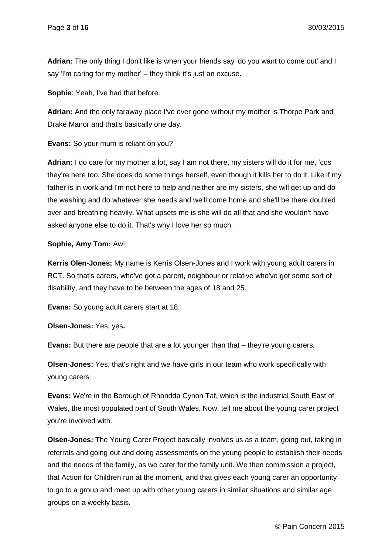**Adrian:** The only thing I don't like is when your friends say 'do you want to come out' and I say 'I'm caring for my mother' – they think it's just an excuse.

**Sophie**: Yeah, I've had that before.

**Adrian:** And the only faraway place I've ever gone without my mother is Thorpe Park and Drake Manor and that's basically one day.

**Evans:** So your mum is reliant on you?

**Adrian:** I do care for my mother a lot, say I am not there, my sisters will do it for me, 'cos they're here too. She does do some things herself, even though it kills her to do it. Like if my father is in work and I'm not here to help and neither are my sisters, she will get up and do the washing and do whatever she needs and we'll come home and she'll be there doubled over and breathing heavily. What upsets me is she will do all that and she wouldn't have asked anyone else to do it. That's why I love her so much.

## **Sophie, Amy Tom:** Aw!

**Kerris Olen-Jones:** My name is Kerris Olsen-Jones and I work with young adult carers in RCT. So that's carers, who've got a parent, neighbour or relative who've got some sort of disability, and they have to be between the ages of 18 and 25.

**Evans:** So young adult carers start at 18.

**Olsen-Jones:** Yes, yes**.**

**Evans:** But there are people that are a lot younger than that – they're young carers*.*

**Olsen-Jones:** Yes, that's right and we have girls in our team who work specifically with young carers.

**Evans:** We're in the Borough of Rhondda Cynon Taf, which is the industrial South East of Wales, the most populated part of South Wales. Now, tell me about the young carer project you're involved with.

**Olsen-Jones:** The Young Carer Project basically involves us as a team, going out, taking in referrals and going out and doing assessments on the young people to establish their needs and the needs of the family, as we cater for the family unit. We then commission a project, that Action for Children run at the moment, and that gives each young carer an opportunity to go to a group and meet up with other young carers in similar situations and similar age groups on a weekly basis.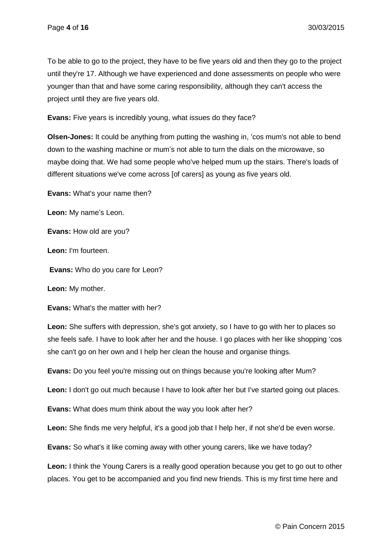To be able to go to the project, they have to be five years old and then they go to the project until they're 17. Although we have experienced and done assessments on people who were younger than that and have some caring responsibility, although they can't access the project until they are five years old.

**Evans:** Five years is incredibly young, what issues do they face?

**Olsen-Jones:** It could be anything from putting the washing in, 'cos mum's not able to bend down to the washing machine or mum's not able to turn the dials on the microwave, so maybe doing that. We had some people who've helped mum up the stairs. There's loads of different situations we've come across [of carers] as young as five years old.

**Evans:** What's your name then?

**Leon:** My name's Leon.

**Evans:** How old are you?

**Leon:** I'm fourteen.

**Evans:** Who do you care for Leon?

**Leon:** My mother.

**Evans:** What's the matter with her?

**Leon:** She suffers with depression, she's got anxiety, so I have to go with her to places so she feels safe. I have to look after her and the house. I go places with her like shopping 'cos she can't go on her own and I help her clean the house and organise things.

**Evans:** Do you feel you're missing out on things because you're looking after Mum?

**Leon:** I don't go out much because I have to look after her but I've started going out places.

**Evans:** What does mum think about the way you look after her?

Leon: She finds me very helpful, it's a good job that I help her, if not she'd be even worse.

**Evans:** So what's it like coming away with other young carers, like we have today?

**Leon:** I think the Young Carers is a really good operation because you get to go out to other places. You get to be accompanied and you find new friends. This is my first time here and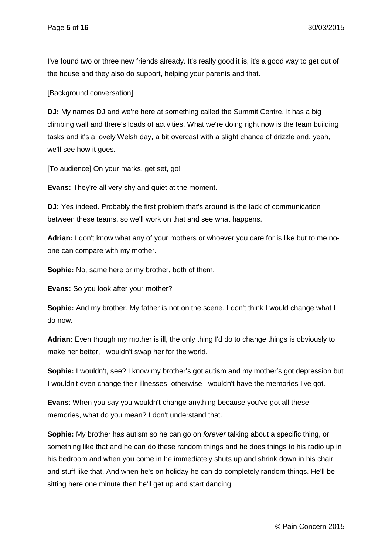I've found two or three new friends already. It's really good it is, it's a good way to get out of the house and they also do support, helping your parents and that.

[Background conversation]

**DJ:** My names DJ and we're here at something called the Summit Centre. It has a big climbing wall and there's loads of activities. What we're doing right now is the team building tasks and it's a lovely Welsh day, a bit overcast with a slight chance of drizzle and, yeah, we'll see how it goes.

[To audience] On your marks, get set, go!

**Evans:** They're all very shy and quiet at the moment.

**DJ:** Yes indeed. Probably the first problem that's around is the lack of communication between these teams, so we'll work on that and see what happens.

**Adrian:** I don't know what any of your mothers or whoever you care for is like but to me noone can compare with my mother.

**Sophie:** No, same here or my brother, both of them.

**Evans:** So you look after your mother?

**Sophie:** And my brother. My father is not on the scene. I don't think I would change what I do now.

**Adrian:** Even though my mother is ill, the only thing I'd do to change things is obviously to make her better, I wouldn't swap her for the world.

**Sophie:** I wouldn't, see? I know my brother's got autism and my mother's got depression but I wouldn't even change their illnesses, otherwise I wouldn't have the memories I've got.

**Evans**: When you say you wouldn't change anything because you've got all these memories, what do you mean? I don't understand that.

**Sophie:** My brother has autism so he can go on *forever* talking about a specific thing, or something like that and he can do these random things and he does things to his radio up in his bedroom and when you come in he immediately shuts up and shrink down in his chair and stuff like that. And when he's on holiday he can do completely random things. He'll be sitting here one minute then he'll get up and start dancing.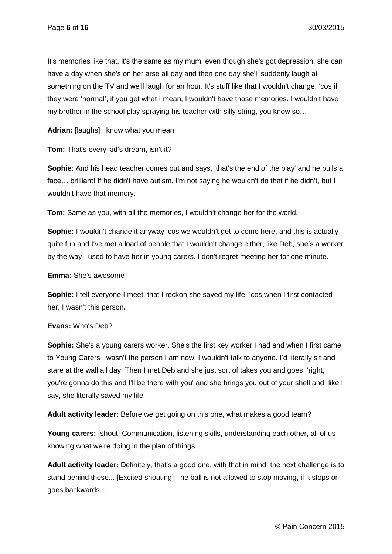It's memories like that, it's the same as my mum, even though she's got depression, she can have a day when she's on her arse all day and then one day she'll suddenly laugh at something on the TV and we'll laugh for an hour. It's stuff like that I wouldn't change, 'cos if they were 'normal', if you get what I mean, I wouldn't have those memories. I wouldn't have my brother in the school play spraying his teacher with silly string, you know so…

**Adrian:** [laughs] I know what you mean.

**Tom:** That's every kid's dream, isn't it?

**Sophie**: And his head teacher comes out and says, 'that's the end of the play' and he pulls a face… brilliant! If he didn't have autism, I'm not saying he wouldn't do that if he didn't, but I wouldn't have that memory.

**Tom:** Same as you, with all the memories, I wouldn't change her for the world.

**Sophie:** I wouldn't change it anyway 'cos we wouldn't get to come here, and this is actually quite fun and I've met a load of people that I wouldn't change either, like Deb, she's a worker by the way I used to have her in young carers. I don't regret meeting her for one minute.

## **Emma:** She's awesome

**Sophie:** I tell everyone I meet, that I reckon she saved my life, 'cos when I first contacted her, I wasn't this person**.**

## **Evans:** Who's Deb?

**Sophie:** She's a young carers worker. She's the first key worker I had and when I first came to Young Carers I wasn't the person I am now. I wouldn't talk to anyone. I'd literally sit and stare at the wall all day. Then I met Deb and she just sort of takes you and goes, 'right, you're gonna do this and I'll be there with you' and she brings you out of your shell and, like I say, she literally saved my life.

**Adult activity leader:** Before we get going on this one, what makes a good team?

**Young carers:** [shout] Communication, listening skills, understanding each other, all of us knowing what we're doing in the plan of things.

**Adult activity leader:** Definitely, that's a good one, with that in mind, the next challenge is to stand behind these... [Excited shouting] The ball is not allowed to stop moving, if it stops or goes backwards...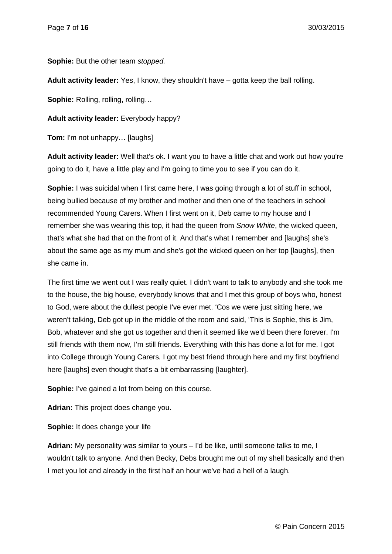**Sophie:** But the other team *stopped.*

**Adult activity leader:** Yes, I know, they shouldn't have – gotta keep the ball rolling.

**Sophie:** Rolling, rolling, rolling…

**Adult activity leader:** Everybody happy?

**Tom:** I'm not unhappy… [laughs]

**Adult activity leader:** Well that's ok. I want you to have a little chat and work out how you're going to do it, have a little play and I'm going to time you to see if you can do it.

**Sophie:** I was suicidal when I first came here, I was going through a lot of stuff in school, being bullied because of my brother and mother and then one of the teachers in school recommended Young Carers. When I first went on it, Deb came to my house and I remember she was wearing this top, it had the queen from *Snow White*, the wicked queen, that's what she had that on the front of it. And that's what I remember and [laughs] she's about the same age as my mum and she's got the wicked queen on her top [laughs], then she came in.

The first time we went out I was really quiet. I didn't want to talk to anybody and she took me to the house, the big house, everybody knows that and I met this group of boys who, honest to God, were about the dullest people I've ever met. 'Cos we were just sitting here, we weren't talking, Deb got up in the middle of the room and said, 'This is Sophie, this is Jim, Bob, whatever and she got us together and then it seemed like we'd been there forever. I'm still friends with them now, I'm still friends. Everything with this has done a lot for me. I got into College through Young Carers*.* I got my best friend through here and my first boyfriend here [laughs] even thought that's a bit embarrassing [laughter].

**Sophie:** I've gained a lot from being on this course.

**Adrian:** This project does change you.

**Sophie:** It does change your life

**Adrian:** My personality was similar to yours – I'd be like, until someone talks to me, I wouldn't talk to anyone. And then Becky, Debs brought me out of my shell basically and then I met you lot and already in the first half an hour we've had a hell of a laugh.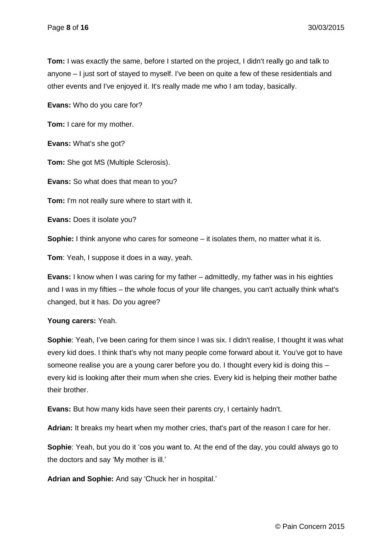**Tom:** I was exactly the same, before I started on the project, I didn't really go and talk to anyone – I just sort of stayed to myself. I've been on quite a few of these residentials and other events and I've enjoyed it. It's really made me who I am today, basically.

**Evans:** Who do you care for?

**Tom:** I care for my mother.

**Evans:** What's she got?

**Tom:** She got MS (Multiple Sclerosis).

**Evans:** So what does that mean to you?

**Tom:** I'm not really sure where to start with it.

**Evans:** Does it isolate you?

**Sophie:** I think anyone who cares for someone – it isolates them, no matter what it is.

**Tom**: Yeah, I suppose it does in a way, yeah.

**Evans:** I know when I was caring for my father – admittedly, my father was in his eighties and I was in my fifties – the whole focus of your life changes, you can't actually think what's changed, but it has. Do you agree?

#### **Young carers:** Yeah.

**Sophie**: Yeah, I've been caring for them since I was six. I didn't realise, I thought it was what every kid does. I think that's why not many people come forward about it. You've got to have someone realise you are a young carer before you do. I thought every kid is doing this – every kid is looking after their mum when she cries. Every kid is helping their mother bathe their brother.

**Evans:** But how many kids have seen their parents cry, I certainly hadn't.

**Adrian:** It breaks my heart when my mother cries, that's part of the reason I care for her.

**Sophie**: Yeah, but you do it 'cos you want to. At the end of the day, you could always go to the doctors and say 'My mother is ill.'

**Adrian and Sophie:** And say 'Chuck her in hospital.'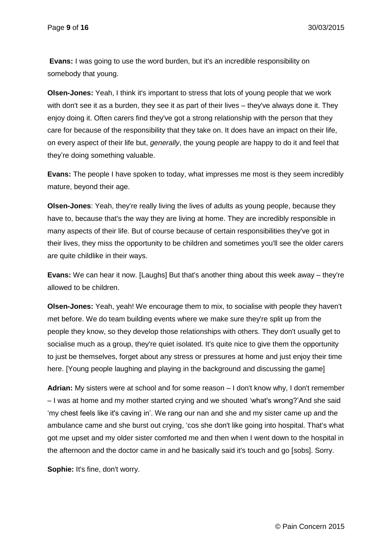**Evans:** I was going to use the word burden, but it's an incredible responsibility on somebody that young.

**Olsen-Jones:** Yeah, I think it's important to stress that lots of young people that we work with don't see it as a burden, they see it as part of their lives – they've always done it. They enjoy doing it. Often carers find they've got a strong relationship with the person that they care for because of the responsibility that they take on. It does have an impact on their life, on every aspect of their life but, *generally*, the young people are happy to do it and feel that they're doing something valuable.

**Evans:** The people I have spoken to today, what impresses me most is they seem incredibly mature, beyond their age.

**Olsen-Jones**: Yeah, they're really living the lives of adults as young people, because they have to, because that's the way they are living at home. They are incredibly responsible in many aspects of their life. But of course because of certain responsibilities they've got in their lives, they miss the opportunity to be children and sometimes you'll see the older carers are quite childlike in their ways.

**Evans:** We can hear it now. [Laughs] But that's another thing about this week away – they're allowed to be children.

**Olsen-Jones:** Yeah, yeah! We encourage them to mix, to socialise with people they haven't met before. We do team building events where we make sure they're split up from the people they know, so they develop those relationships with others. They don't usually get to socialise much as a group, they're quiet isolated. It's quite nice to give them the opportunity to just be themselves, forget about any stress or pressures at home and just enjoy their time here. [Young people laughing and playing in the background and discussing the game]

**Adrian:** My sisters were at school and for some reason – I don't know why, I don't remember – I was at home and my mother started crying and we shouted 'what's wrong?'And she said 'my chest feels like it's caving in'. We rang our nan and she and my sister came up and the ambulance came and she burst out crying, 'cos she don't like going into hospital. That's what got me upset and my older sister comforted me and then when I went down to the hospital in the afternoon and the doctor came in and he basically said it's touch and go [sobs]. Sorry.

**Sophie:** It's fine, don't worry.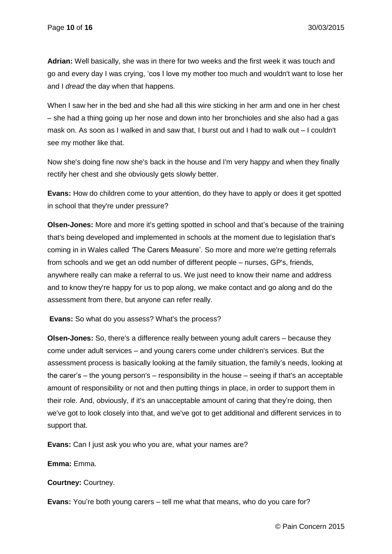**Adrian:** Well basically, she was in there for two weeks and the first week it was touch and go and every day I was crying, 'cos I love my mother too much and wouldn't want to lose her and I *dread* the day when that happens.

When I saw her in the bed and she had all this wire sticking in her arm and one in her chest – she had a thing going up her nose and down into her bronchioles and she also had a gas mask on. As soon as I walked in and saw that, I burst out and I had to walk out – I couldn't see my mother like that.

Now she's doing fine now she's back in the house and I'm very happy and when they finally rectify her chest and she obviously gets slowly better.

**Evans:** How do children come to your attention, do they have to apply or does it get spotted in school that they're under pressure?

**Olsen-Jones:** More and more it's getting spotted in school and that's because of the training that's being developed and implemented in schools at the moment due to legislation that's coming in in Wales called *'*The Carers Measure'. So more and more we're getting referrals from schools and we get an odd number of different people – nurses, GP's, friends, anywhere really can make a referral to us. We just need to know their name and address and to know they're happy for us to pop along, we make contact and go along and do the assessment from there, but anyone can refer really.

**Evans:** So what do you assess? What's the process?

**Olsen-Jones:** So, there's a difference really between young adult carers – because they come under adult services – and young carers come under children's services. But the assessment process is basically looking at the family situation, the family's needs, looking at the carer's – the young person's – responsibility in the house – seeing if that's an acceptable amount of responsibility or not and then putting things in place, in order to support them in their role. And, obviously, if it's an unacceptable amount of caring that they're doing, then we've got to look closely into that, and we've got to get additional and different services in to support that.

**Evans:** Can I just ask you who you are, what your names are?

**Emma:** Emma.

**Courtney:** Courtney.

**Evans:** You're both young carers – tell me what that means, who do you care for?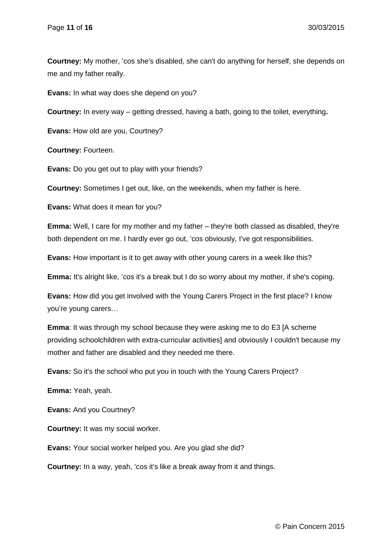**Courtney:** My mother, 'cos she's disabled, she can't do anything for herself, she depends on me and my father really.

**Evans:** In what way does she depend on you?

**Courtney:** In every way – getting dressed, having a bath, going to the toilet, everything**.**

**Evans:** How old are you, Courtney?

**Courtney:** Fourteen.

**Evans:** Do you get out to play with your friends?

**Courtney:** Sometimes I get out, like, on the weekends, when my father is here.

**Evans:** What does it mean for you?

**Emma:** Well, I care for my mother and my father – they're both classed as disabled, they're both dependent on me. I hardly ever go out, 'cos obviously, I've got responsibilities.

**Evans:** How important is it to get away with other young carers in a week like this?

**Emma:** It's alright like, 'cos it's a break but I do so worry about my mother, if she's coping.

**Evans:** How did you get involved with the Young Carers Project in the first place? I know you're young carers…

**Emma**: It was through my school because they were asking me to do E3 [A scheme providing schoolchildren with extra-curricular activities] and obviously I couldn't because my mother and father are disabled and they needed me there.

**Evans:** So it's the school who put you in touch with the Young Carers Project?

**Emma:** Yeah, yeah.

**Evans:** And you Courtney?

**Courtney:** It was my social worker.

**Evans:** Your social worker helped you. Are you glad she did?

**Courtney:** In a way, yeah, 'cos it's like a break away from it and things.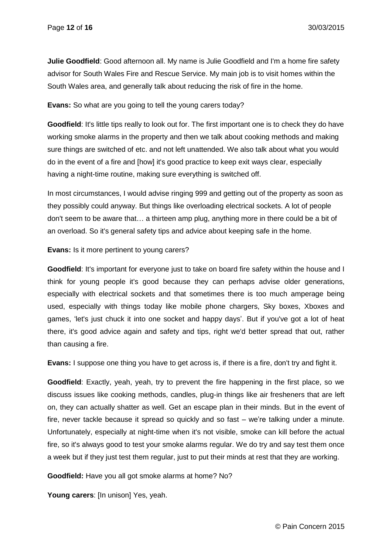**Julie Goodfield**: Good afternoon all. My name is Julie Goodfield and I'm a home fire safety advisor for South Wales Fire and Rescue Service. My main job is to visit homes within the South Wales area, and generally talk about reducing the risk of fire in the home.

**Evans:** So what are you going to tell the young carers today?

**Goodfield**: It's little tips really to look out for. The first important one is to check they do have working smoke alarms in the property and then we talk about cooking methods and making sure things are switched of etc. and not left unattended. We also talk about what you would do in the event of a fire and [how] it's good practice to keep exit ways clear, especially having a night-time routine, making sure everything is switched off.

In most circumstances, I would advise ringing 999 and getting out of the property as soon as they possibly could anyway. But things like overloading electrical sockets. A lot of people don't seem to be aware that… a thirteen amp plug, anything more in there could be a bit of an overload. So it's general safety tips and advice about keeping safe in the home.

#### **Evans:** Is it more pertinent to young carers?

**Goodfield**: It's important for everyone just to take on board fire safety within the house and I think for young people it's good because they can perhaps advise older generations, especially with electrical sockets and that sometimes there is too much amperage being used, especially with things today like mobile phone chargers, Sky boxes, Xboxes and games, 'let's just chuck it into one socket and happy days'. But if you've got a lot of heat there, it's good advice again and safety and tips, right we'd better spread that out, rather than causing a fire.

**Evans:** I suppose one thing you have to get across is, if there is a fire, don't try and fight it.

**Goodfield**: Exactly, yeah, yeah, try to prevent the fire happening in the first place, so we discuss issues like cooking methods, candles, plug-in things like air fresheners that are left on, they can actually shatter as well. Get an escape plan in their minds. But in the event of fire, never tackle because it spread so quickly and so fast – we're talking under a minute. Unfortunately, especially at night-time when it's not visible, smoke can kill before the actual fire, so it's always good to test your smoke alarms regular. We do try and say test them once a week but if they just test them regular, just to put their minds at rest that they are working.

**Goodfield:** Have you all got smoke alarms at home? No?

**Young carers**: [In unison] Yes, yeah.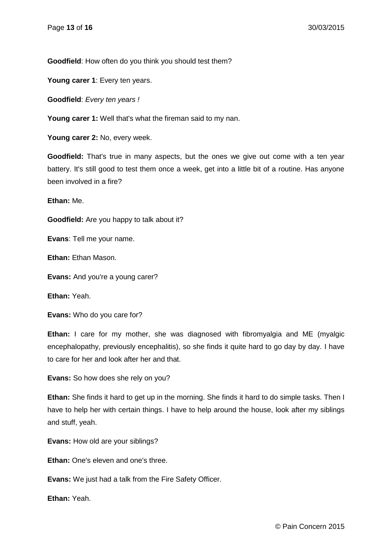**Goodfield**: How often do you think you should test them?

**Young carer 1**: Every ten years.

**Goodfield**: *Every ten years !*

**Young carer 1:** Well that's what the fireman said to my nan.

**Young carer 2:** No, every week.

**Goodfield:** That's true in many aspects, but the ones we give out come with a ten year battery. It's still good to test them once a week, get into a little bit of a routine. Has anyone been involved in a fire?

**Ethan:** Me.

**Goodfield:** Are you happy to talk about it?

**Evans**: Tell me your name.

**Ethan:** Ethan Mason.

**Evans:** And you're a young carer?

**Ethan:** Yeah.

**Evans:** Who do you care for?

**Ethan:** I care for my mother, she was diagnosed with fibromyalgia and ME (myalgic encephalopathy, previously encephalitis), so she finds it quite hard to go day by day. I have to care for her and look after her and that.

**Evans:** So how does she rely on you?

**Ethan:** She finds it hard to get up in the morning. She finds it hard to do simple tasks. Then I have to help her with certain things. I have to help around the house, look after my siblings and stuff, yeah.

**Evans:** How old are your siblings?

**Ethan:** One's eleven and one's three.

**Evans:** We just had a talk from the Fire Safety Officer.

**Ethan:** Yeah.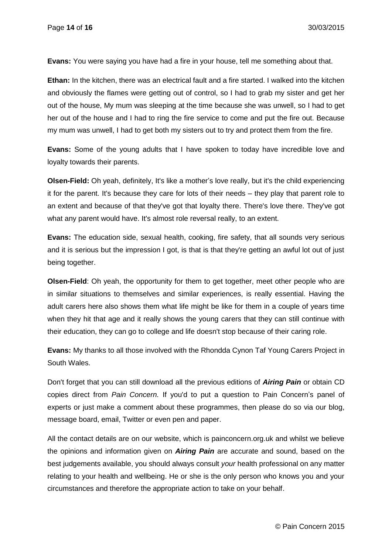**Evans:** You were saying you have had a fire in your house, tell me something about that.

**Ethan:** In the kitchen, there was an electrical fault and a fire started. I walked into the kitchen and obviously the flames were getting out of control, so I had to grab my sister and get her out of the house, My mum was sleeping at the time because she was unwell, so I had to get her out of the house and I had to ring the fire service to come and put the fire out. Because my mum was unwell, I had to get both my sisters out to try and protect them from the fire.

**Evans:** Some of the young adults that I have spoken to today have incredible love and loyalty towards their parents.

**Olsen-Field:** Oh yeah, definitely, It's like a mother's love really, but it's the child experiencing it for the parent. It's because they care for lots of their needs – they play that parent role to an extent and because of that they've got that loyalty there. There's love there. They've got what any parent would have. It's almost role reversal really, to an extent.

**Evans:** The education side, sexual health, cooking, fire safety, that all sounds very serious and it is serious but the impression I got, is that is that they're getting an awful lot out of just being together.

**Olsen-Field**: Oh yeah, the opportunity for them to get together, meet other people who are in similar situations to themselves and similar experiences, is really essential. Having the adult carers here also shows them what life might be like for them in a couple of years time when they hit that age and it really shows the young carers that they can still continue with their education, they can go to college and life doesn't stop because of their caring role.

**Evans:** My thanks to all those involved with the Rhondda Cynon Taf Young Carers Project in South Wales.

Don't forget that you can still download all the previous editions of *Airing Pain* or obtain CD copies direct from *Pain Concern.* If you'd to put a question to Pain Concern's panel of experts or just make a comment about these programmes, then please do so via our blog, message board, email, Twitter or even pen and paper.

All the contact details are on our website, which is painconcern.org.uk and whilst we believe the opinions and information given on *Airing Pain* are accurate and sound, based on the best judgements available, you should always consult *your* health professional on any matter relating to your health and wellbeing. He or she is the only person who knows you and your circumstances and therefore the appropriate action to take on your behalf.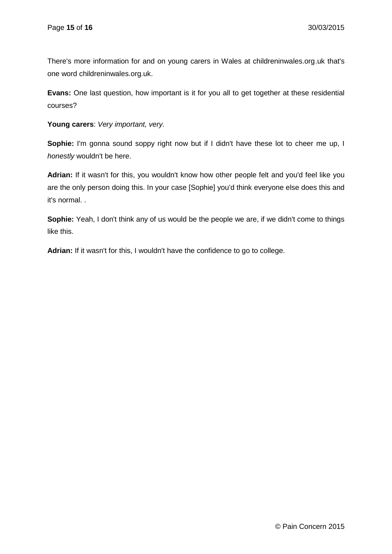There's more information for and on young carers in Wales at childreninwales.org.uk that's one word childreninwales.org.uk.

**Evans:** One last question, how important is it for you all to get together at these residential courses?

**Young carers**: *Very important, very.*

**Sophie:** I'm gonna sound soppy right now but if I didn't have these lot to cheer me up, I *honestly* wouldn't be here.

**Adrian:** If it wasn't for this, you wouldn't know how other people felt and you'd feel like you are the only person doing this. In your case [Sophie] you'd think everyone else does this and it's normal. .

**Sophie:** Yeah, I don't think any of us would be the people we are, if we didn't come to things like this.

**Adrian:** If it wasn't for this, I wouldn't have the confidence to go to college.